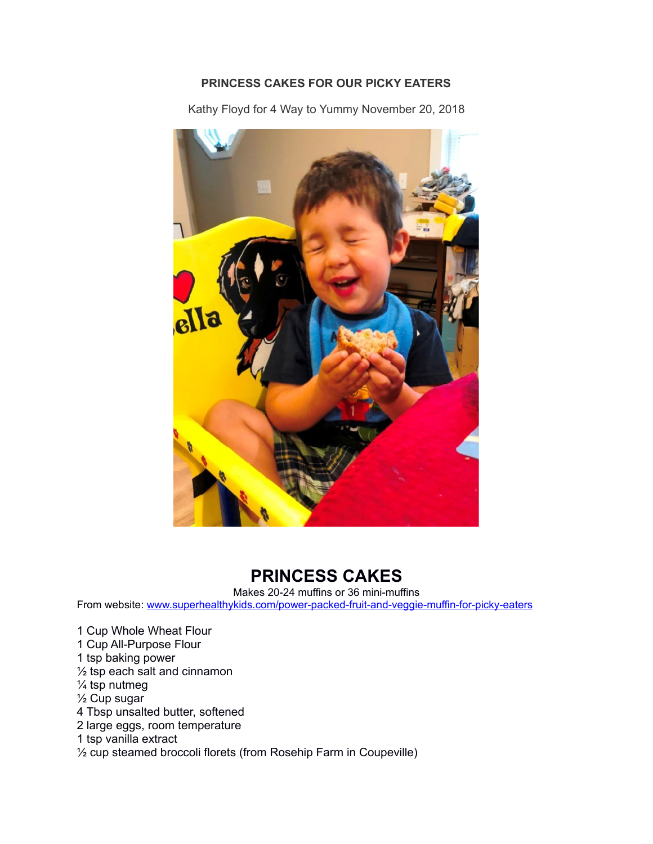## **PRINCESS CAKES FOR OUR PICKY EATERS**

Kathy Floyd for 4 Way to Yummy November 20, 2018



## **PRINCESS CAKES**

Makes 20-24 muffins or 36 mini-muffins

From website: [www.superhealthykids.com/power-packed-fruit-and-veggie-muffin-for-picky-eaters](http://www.superhealthykids.com/power-packed-fruit-and-veggie-muffin-for-picky-eaters)

1 Cup Whole Wheat Flour 1 Cup All-Purpose Flour 1 tsp baking power ½ tsp each salt and cinnamon ¼ tsp nutmeg ½ Cup sugar 4 Tbsp unsalted butter, softened 2 large eggs, room temperature 1 tsp vanilla extract ½ cup steamed broccoli florets (from Rosehip Farm in Coupeville)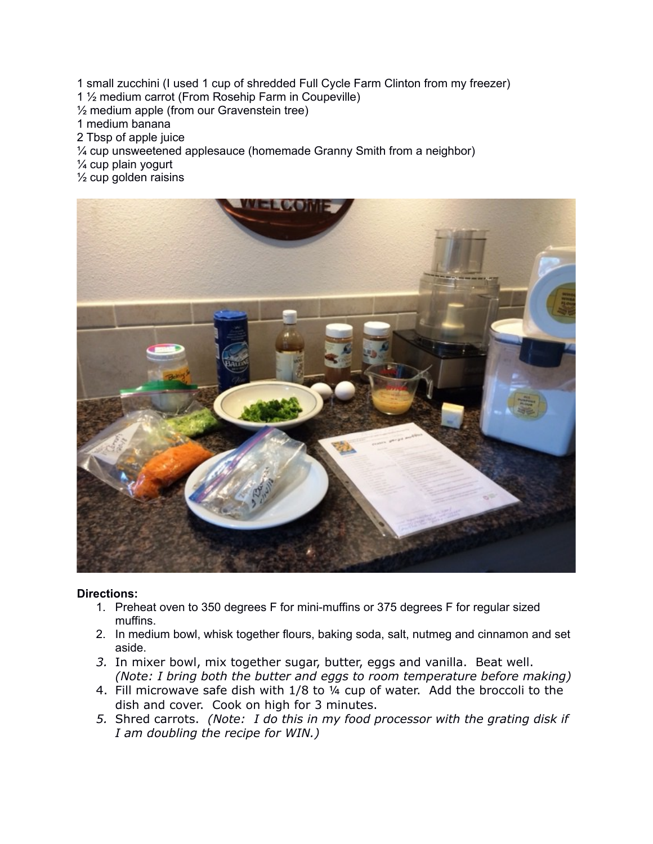- 1 small zucchini (I used 1 cup of shredded Full Cycle Farm Clinton from my freezer)
- 1 ½ medium carrot (From Rosehip Farm in Coupeville)
- ½ medium apple (from our Gravenstein tree)
- 1 medium banana
- 2 Tbsp of apple juice
- ¼ cup unsweetened applesauce (homemade Granny Smith from a neighbor)
- ¼ cup plain yogurt
- $\frac{1}{2}$  cup golden raisins



## **Directions:**

- 1. Preheat oven to 350 degrees F for mini-muffins or 375 degrees F for regular sized muffins.
- 2. In medium bowl, whisk together flours, baking soda, salt, nutmeg and cinnamon and set aside.
- *3.* In mixer bowl, mix together sugar, butter, eggs and vanilla. Beat well. *(Note: I bring both the butter and eggs to room temperature before making)*
- 4. Fill microwave safe dish with 1/8 to ¼ cup of water. Add the broccoli to the dish and cover. Cook on high for 3 minutes.
- *5.* Shred carrots. *(Note: I do this in my food processor with the grating disk if I am doubling the recipe for WIN.)*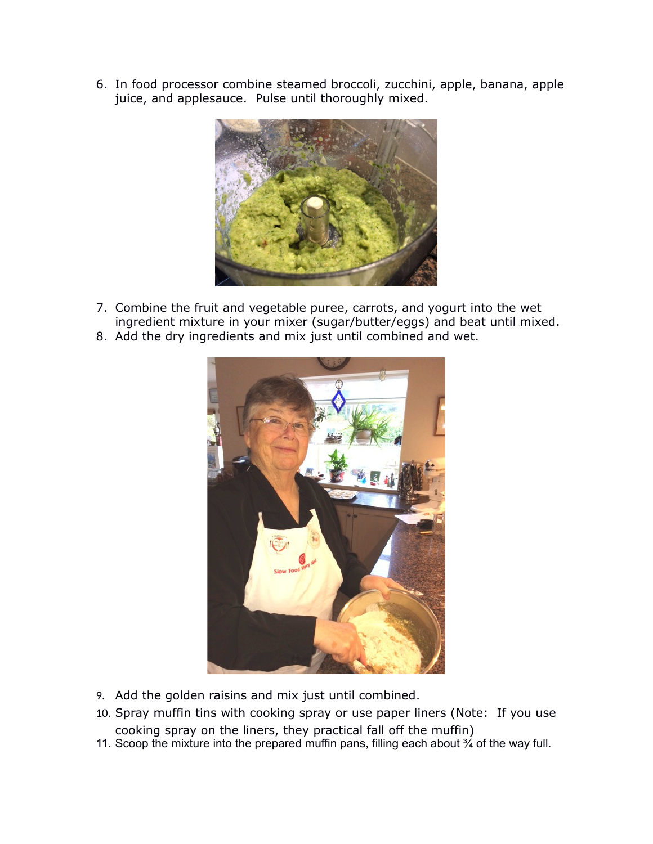6. In food processor combine steamed broccoli, zucchini, apple, banana, apple juice, and applesauce. Pulse until thoroughly mixed.



- 7. Combine the fruit and vegetable puree, carrots, and yogurt into the wet ingredient mixture in your mixer (sugar/butter/eggs) and beat until mixed.
- 8. Add the dry ingredients and mix just until combined and wet.



- 9. Add the golden raisins and mix just until combined.
- 10. Spray muffin tins with cooking spray or use paper liners (Note: If you use cooking spray on the liners, they practical fall off the muffin)
- 11. Scoop the mixture into the prepared muffin pans, filling each about  $\frac{3}{4}$  of the way full.